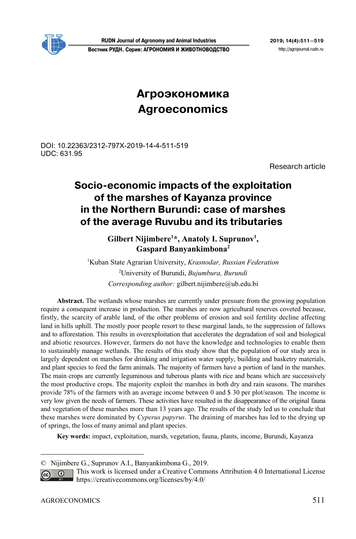

**RUDN Journal of Agronomy and Animal Industries 2019; 14(4):511—519 Вестник РУДН. Серия: АГРОНОМИЯ И ЖИВОТНОВОДСТВО** http://agrojournal.rudn.ru

# **Агроэкономика Agroeconomics**

# DOI: 10.22363/2312-797X-2019-14-4-511-519 UDC: 631.95

Research article

# **Socio-economic impacts of the exploitation of the marshes of Kayanza province in the Northern Burundi: case of marshes of the average Ruvubu and its tributaries1**

Gilbert Nijimbere<sup>1\*</sup>, Anatoly I. Suprunov<sup>1</sup>, **Gaspard Banyankimbona2** 

1 Kuban State Agrarian University, *Krasnodar, Russian Federation*  2 University of Burundi, *Bujumbura, Burundi Corresponding author:* gilbert.nijimbere@ub.edu.bi

**Abstract.** The wetlands whose marshes are currently under pressure from the growing population require a consequent increase in production. The marshes are now agricultural reserves coveted because, firstly, the scarcity of arable land, of the other problems of erosion and soil fertility decline affecting land in hills uphill. The mostly poor people resort to these marginal lands, to the suppression of fallows and to afforestation. This results in overexploitation that accelerates the degradation of soil and biological and abiotic resources. However, farmers do not have the knowledge and technologies to enable them to sustainably manage wetlands. The results of this study show that the population of our study area is largely dependent on marshes for drinking and irrigation water supply, building and basketry materials, and plant species to feed the farm animals. The majority of farmers have a portion of land in the marshes. The main crops are currently leguminous and tuberous plants with rice and beans which are successively the most productive crops. The majority exploit the marshes in both dry and rain seasons. The marshes provide 78% of the farmers with an average income between 0 and \$ 30 per plot/season. The income is very low given the needs of farmers. These activities have resulted in the disappearance of the original fauna and vegetation of these marshes more than 13 years ago. The results of the study led us to conclude that these marshes were dominated by *Cyperus papyrus*. The draining of marshes has led to the drying up of springs, the loss of many animal and plant species.

**Key words:** impact, exploitation, marsh, vegetation, fauna, plants, income, Burundi, Kayanza

 $\overline{a}$ 

<sup>©</sup> Nijimbere G., Suprunov A.I., Banyankimbona G., 2019.

This work is licensed under a Creative Commons Attribution 4.0 International License  $\overline{G}$ https://creativecommons.org/licenses/by/4.0/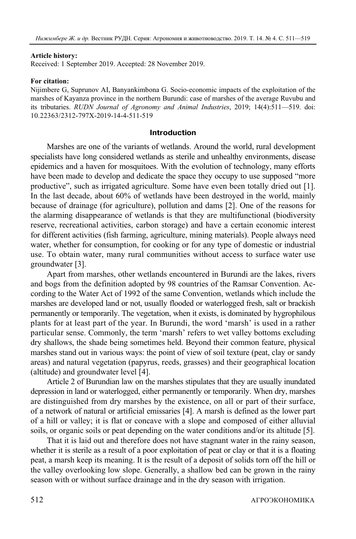#### **Article history:**

Received: 1 September 2019. Accepted: 28 November 2019.

### **For citation:**

Nijimbere G, Suprunov AI, Banyankimbona G. Socio-economic impacts of the exploitation of the marshes of Kayanza province in the northern Burundi: case of marshes of the average Ruvubu and its tributaries. *RUDN Journal of Agronomy and Animal Industries*, 2019; 14(4):511—519. doi: 10.22363/2312-797X-2019-14-4-511-519

### **Introduction**

Marshes are one of the variants of wetlands. Around the world, rural development specialists have long considered wetlands as sterile and unhealthy environments, disease epidemics and a haven for mosquitoes. With the evolution of technology, many efforts have been made to develop and dedicate the space they occupy to use supposed "more productive", such as irrigated agriculture. Some have even been totally dried out [1]. In the last decade, about 60% of wetlands have been destroyed in the world, mainly because of drainage (for agriculture), pollution and dams [2]. One of the reasons for the alarming disappearance of wetlands is that they are multifunctional (biodiversity reserve, recreational activities, carbon storage) and have a certain economic interest for different activities (fish farming, agriculture, mining materials). People always need water, whether for consumption, for cooking or for any type of domestic or industrial use. To obtain water, many rural communities without access to surface water use groundwater [3].

Apart from marshes, other wetlands encountered in Burundi are the lakes, rivers and bogs from the definition adopted by 98 countries of the Ramsar Convention. According to the Water Act of 1992 of the same Convention, wetlands which include the marshes are developed land or not, usually flooded or waterlogged fresh, salt or brackish permanently or temporarily. The vegetation, when it exists, is dominated by hygrophilous plants for at least part of the year. In Burundi, the word 'marsh' is used in a rather particular sense. Commonly, the term 'marsh' refers to wet valley bottoms excluding dry shallows, the shade being sometimes held. Beyond their common feature, physical marshes stand out in various ways: the point of view of soil texture (peat, clay or sandy areas) and natural vegetation (papyrus, reeds, grasses) and their geographical location (altitude) and groundwater level [4].

Article 2 of Burundian law on the marshes stipulates that they are usually inundated depression in land or waterlogged, either permanently or temporarily. When dry, marshes are distinguished from dry marshes by the existence, on all or part of their surface, of a network of natural or artificial emissaries [4]. A marsh is defined as the lower part of a hill or valley; it is flat or concave with a slope and composed of either alluvial soils, or organic soils or peat depending on the water conditions and/or its altitude [5].

That it is laid out and therefore does not have stagnant water in the rainy season, whether it is sterile as a result of a poor exploitation of peat or clay or that it is a floating peat, a marsh keep its meaning. It is the result of a deposit of solids torn off the hill or the valley overlooking low slope. Generally, a shallow bed can be grown in the rainy season with or without surface drainage and in the dry season with irrigation.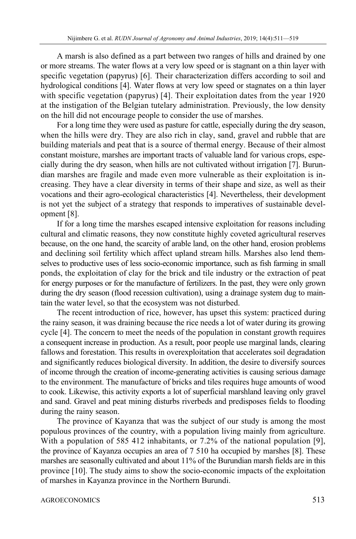A marsh is also defined as a part between two ranges of hills and drained by one or more streams. The water flows at a very low speed or is stagnant on a thin layer with specific vegetation (papyrus) [6]. Their characterization differs according to soil and hydrological conditions [4]. Water flows at very low speed or stagnates on a thin layer with specific vegetation (papyrus) [4]. Their exploitation dates from the year 1920 at the instigation of the Belgian tutelary administration. Previously, the low density on the hill did not encourage people to consider the use of marshes.

For a long time they were used as pasture for cattle, especially during the dry season, when the hills were dry. They are also rich in clay, sand, gravel and rubble that are building materials and peat that is a source of thermal energy. Because of their almost constant moisture, marshes are important tracts of valuable land for various crops, especially during the dry season, when hills are not cultivated without irrigation [7]. Burundian marshes are fragile and made even more vulnerable as their exploitation is increasing. They have a clear diversity in terms of their shape and size, as well as their vocations and their agro-ecological characteristics [4]. Nevertheless, their development is not yet the subject of a strategy that responds to imperatives of sustainable development [8].

If for a long time the marshes escaped intensive exploitation for reasons including cultural and climatic reasons, they now constitute highly coveted agricultural reserves because, on the one hand, the scarcity of arable land, on the other hand, erosion problems and declining soil fertility which affect upland stream hills. Marshes also lend themselves to productive uses of less socio-economic importance, such as fish farming in small ponds, the exploitation of clay for the brick and tile industry or the extraction of peat for energy purposes or for the manufacture of fertilizers. In the past, they were only grown during the dry season (flood recession cultivation), using a drainage system dug to maintain the water level, so that the ecosystem was not disturbed.

The recent introduction of rice, however, has upset this system: practiced during the rainy season, it was draining because the rice needs a lot of water during its growing cycle [4]. The concern to meet the needs of the population in constant growth requires a consequent increase in production. As a result, poor people use marginal lands, clearing fallows and forestation. This results in overexploitation that accelerates soil degradation and significantly reduces biological diversity. In addition, the desire to diversify sources of income through the creation of income-generating activities is causing serious damage to the environment. The manufacture of bricks and tiles requires huge amounts of wood to cook. Likewise, this activity exports a lot of superficial marshland leaving only gravel and sand. Gravel and peat mining disturbs riverbeds and predisposes fields to flooding during the rainy season.

The province of Kayanza that was the subject of our study is among the most populous provinces of the country, with a population living mainly from agriculture. With a population of 585 412 inhabitants, or 7.2% of the national population [9], the province of Kayanza occupies an area of 7 510 ha occupied by marshes [8]. These marshes are seasonally cultivated and about 11% of the Burundian marsh fields are in this province [10]. The study aims to show the socio-economic impacts of the exploitation of marshes in Kayanza province in the Northern Burundi.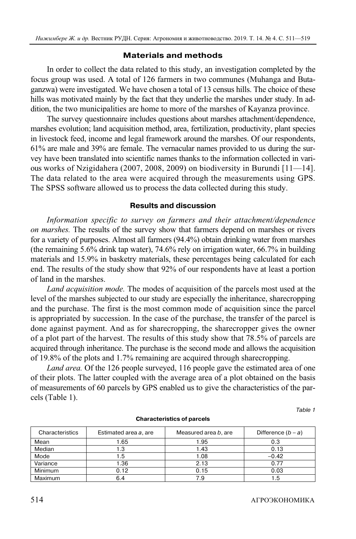# **Materials and methods**

In order to collect the data related to this study, an investigation completed by the focus group was used. A total of 126 farmers in two communes (Muhanga and Butaganzwa) were investigated. We have chosen a total of 13 census hills. The choice of these hills was motivated mainly by the fact that they underlie the marshes under study. In addition, the two municipalities are home to more of the marshes of Kayanza province.

The survey questionnaire includes questions about marshes attachment/dependence, marshes evolution; land acquisition method, area, fertilization, productivity, plant species in livestock feed, income and legal framework around the marshes. Of our respondents, 61% are male and 39% are female. The vernacular names provided to us during the survey have been translated into scientific names thanks to the information collected in various works of Nzigidahera (2007, 2008, 2009) on biodiversity in Burundi [11—14]. The data related to the area were acquired through the measurements using GPS. The SPSS software allowed us to process the data collected during this study.

# **Results and discussion**

*Information specific to survey on farmers and their attachment/dependence on marshes.* The results of the survey show that farmers depend on marshes or rivers for a variety of purposes. Almost all farmers (94.4%) obtain drinking water from marshes (the remaining 5.6% drink tap water), 74.6% rely on irrigation water, 66.7% in building materials and 15.9% in basketry materials, these percentages being calculated for each end. The results of the study show that 92% of our respondents have at least a portion of land in the marshes.

*Land acquisition mode.* The modes of acquisition of the parcels most used at the level of the marshes subjected to our study are especially the inheritance, sharecropping and the purchase. The first is the most common mode of acquisition since the parcel is appropriated by succession. In the case of the purchase, the transfer of the parcel is done against payment. And as for sharecropping, the sharecropper gives the owner of a plot part of the harvest. The results of this study show that 78.5% of parcels are acquired through inheritance. The purchase is the second mode and allows the acquisition of 19.8% of the plots and 1.7% remaining are acquired through sharecropping.

*Land area.* Of the 126 people surveyed, 116 people gave the estimated area of one of their plots. The latter coupled with the average area of a plot obtained on the basis of measurements of 60 parcels by GPS enabled us to give the characteristics of the parcels (Table 1).

Table 1

| Characteristics | Estimated area a, are | Measured area b, are | Difference $(b - a)$ |
|-----------------|-----------------------|----------------------|----------------------|
| Mean            | .65                   | 1.95                 | 0.3                  |
| Median          | I.3                   | 1.43                 | 0.13                 |
| Mode            | 1.5                   | 1.08                 | $-0.42$              |
| Variance        | 1.36                  | 2.13                 | 0.77                 |
| <b>Minimum</b>  | 0.12                  | 0.15                 | 0.03                 |
| Maximum         | 6.4                   | 7.9                  | 1.5                  |

#### **Characteristics of parcels**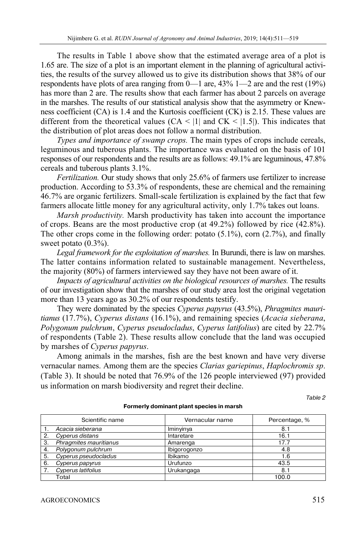The results in Table 1 above show that the estimated average area of a plot is 1.65 are. The size of a plot is an important element in the planning of agricultural activities, the results of the survey allowed us to give its distribution shows that 38% of our respondents have plots of area ranging from  $0-1$  are, 43% 1—2 are and the rest (19%) has more than 2 are. The results show that each farmer has about 2 parcels on average in the marshes. The results of our statistical analysis show that the asymmetry or Knewness coefficient (CA) is 1.4 and the Kurtosis coefficient (CK) is 2.15. These values are different from the theoretical values  $(CA \le |1|)$  and  $CK \le |1.5|$ . This indicates that the distribution of plot areas does not follow a normal distribution.

*Types and importance of swamp crops.* The main types of crops include cereals, leguminous and tuberous plants. The importance was evaluated on the basis of 101 responses of our respondents and the results are as follows: 49.1% are leguminous, 47.8% cereals and tuberous plants 3.1%.

*Fertilization.* Our study shows that only 25.6% of farmers use fertilizer to increase production. According to 53.3% of respondents, these are chemical and the remaining 46.7% are organic fertilizers. Small-scale fertilization is explained by the fact that few farmers allocate little money for any agricultural activity, only 1.7% takes out loans.

*Marsh productivity.* Marsh productivity has taken into account the importance of crops. Beans are the most productive crop (at 49.2%) followed by rice (42.8%). The other crops come in the following order: potato (5.1%), corn (2.7%), and finally sweet potato  $(0.3\%)$ .

*Legal framework for the exploitation of marshes.* In Burundi, there is law on marshes. The latter contains information related to sustainable management. Nevertheless, the majority (80%) of farmers interviewed say they have not been aware of it.

*Impacts of agricultural activities on the biological resources of marshes.* The results of our investigation show that the marshes of our study area lost the original vegetation more than 13 years ago as 30.2% of our respondents testify.

They were dominated by the species *Cyperus papyrus* (43.5%), *Phragmites mauritianus* (17.7%), *Cyperus distans* (16.1%), and remaining species (*Acacia sieberana*, *Polygonum pulchrum*, *Cyperus pseudocladus*, *Cyperus latifolius*) are cited by 22.7% of respondents (Table 2). These results allow conclude that the land was occupied by marshes of *Cyperus papyrus*.

Among animals in the marshes, fish are the best known and have very diverse vernacular names. Among them are the species *Clarias gariepinus*, *Haplochromis sp*. (Table 3). It should be noted that 76.9% of the 126 people interviewed (97) provided us information on marsh biodiversity and regret their decline.

Table 2

|    | Scientific name        | Vernacular name | Percentage, % |
|----|------------------------|-----------------|---------------|
|    | Acacia sieberana       | Iminyinya       | 8.1           |
| 2. | Cyperus distans        | Intaretare      | 16.1          |
| 3. | Phragmites mauritianus | Amarenga        | 17.7          |
| 4. | Polygonum pulchrum     | Ibigorogonzo    | 4.8           |
| 5. | Cyperus pseudocladus   | Ibikamo         | 1.6           |
| 6. | Cyperus papyrus        | Urufunzo        | 43.5          |
|    | Cyperus latifolius     | Urukangaga      | 8.1           |
|    | Total                  |                 | 100.0         |

#### **Formerly dominant plant species in marsh**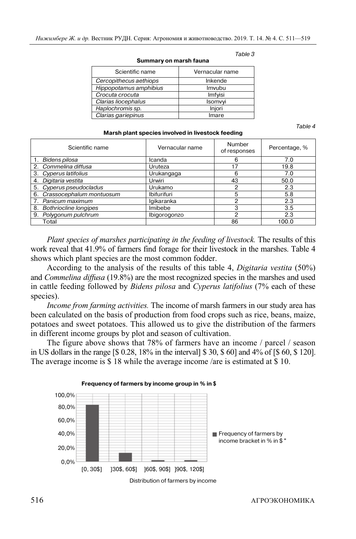| Scientific name        | Vernacular name |
|------------------------|-----------------|
| Cercopithecus aethiops | Inkende         |
| Hippopotamus amphibius | Imvubu          |
| Crocuta crocuta        | Imfyisi         |
| Clarias liocephalus    | Isomvyi         |
| Haplochromis sp.       | Injori          |
| Clarias gariepinus     | Imare           |

#### **Summary on marsh fauna**

Table 3

Table 4

| Scientific name             | Vernacular name    | Number<br>of responses | Percentage, % |
|-----------------------------|--------------------|------------------------|---------------|
| 1. Bidens pilosa            | Icanda             | 6                      | 7.0           |
| 2. Commelina diffusa        | Uruteza            | 17                     | 19.8          |
| 3. Cyperus latifolius       | Urukangaga         | 6                      | 7.0           |
| 4. Digitaria vestita        | Urwiri             | 43                     | 50.0          |
| 5. Cyperus pseudocladus     | Urukamo            | 2                      | 2.3           |
| 6. Crassocephalum montuosum | <b>Ibifurifuri</b> | 5                      | 5.8           |
| 7. Panicum maximum          | lgikaranka         | 2                      | 2.3           |
| 8. Bothriocline longipes    | Imibebe            | 3                      | 3.5           |
| 9. Polygonum pulchrum       | Ibigorogonzo       | າ                      | 2.3           |
| Total                       |                    | 86                     | 100.0         |

**Marsh plant species involved in livestock feeding** 

*Plant species of marshes participating in the feeding of livestock.* The results of this work reveal that 41.9% of farmers find forage for their livestock in the marshes. Table 4 shows which plant species are the most common fodder.

According to the analysis of the results of this table 4, *Digitaria vestita* (50%) and *Commelina diffusa* (19.8%) are the most recognized species in the marshes and used in cattle feeding followed by *Bidens pilosa* and *Cyperus latifolius* (7% each of these species).

*Income from farming activities.* The income of marsh farmers in our study area has been calculated on the basis of production from food crops such as rice, beans, maize, potatoes and sweet potatoes. This allowed us to give the distribution of the farmers in different income groups by plot and season of cultivation.

The figure above shows that 78% of farmers have an income / parcel / season in US dollars in the range [\$ 0.28, 18% in the interval] \$ 30, \$ 60] and 4% of [\$ 60, \$ 120]. The average income is \$ 18 while the average income /are is estimated at \$ 10.

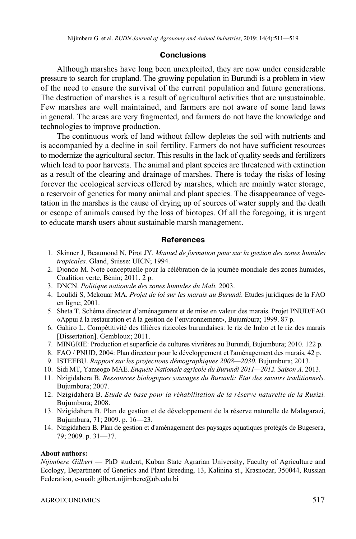# **Conclusions**

Although marshes have long been unexploited, they are now under considerable pressure to search for cropland. The growing population in Burundi is a problem in view of the need to ensure the survival of the current population and future generations. The destruction of marshes is a result of agricultural activities that are unsustainable. Few marshes are well maintained, and farmers are not aware of some land laws in general. The areas are very fragmented, and farmers do not have the knowledge and technologies to improve production.

The continuous work of land without fallow depletes the soil with nutrients and is accompanied by a decline in soil fertility. Farmers do not have sufficient resources to modernize the agricultural sector. This results in the lack of quality seeds and fertilizers which lead to poor harvests. The animal and plant species are threatened with extinction as a result of the clearing and drainage of marshes. There is today the risks of losing forever the ecological services offered by marshes, which are mainly water storage, a reservoir of genetics for many animal and plant species. The disappearance of vegetation in the marshes is the cause of drying up of sources of water supply and the death or escape of animals caused by the loss of biotopes. Of all the foregoing, it is urgent to educate marsh users about sustainable marsh management.

# **References**

- 1. Skinner J, Beaumond N, Pirot JY. *Manuel de formation pour sur la gestion des zones humides tropicales.* Gland, Suisse: UICN; 1994.
- 2. Djondo M. Note conceptuelle pour la célébration de la journée mondiale des zones humides, Coalition verte, Bénin; 2011. 2 p.
- 3. DNCN. *Politique nationale des zones humides du Mali.* 2003.
- 4. Loulidi S, Mekouar MA. *Projet de loi sur les marais au Burundi*. Etudes juridiques de la FAO en ligne; 2001.
- 5. Sheta T. Schéma directeur d'aménagement et de mise en valeur des marais. Projet PNUD/FAO «Appui à la restauration et à la gestion de l'environnement», Bujumbura; 1999. 87 p.
- 6. Gahiro L. Compétitivité des filières rizicoles burundaises: le riz de Imbo et le riz des marais [Dissertation]. Gembloux; 2011.
- 7. MINGRIE: Production et superficie de cultures vivrières au Burundi, Bujumbura; 2010. 122 p.
- 8. FAO / PNUD, 2004: Plan directeur pour le développement et l'aménagement des marais, 42 p.
- 9. ISTEEBU. *Rapport sur les projections démographiques 2008—2030.* Bujumbura; 2013.
- 10. Sidi MT, Yameogo MAE. *Enquête Nationale agricole du Burundi 2011—2012. Saison A.* 2013.
- 11. Nzigidahera B. *Ressources biologiques sauvages du Burundi: Etat des savoirs traditionnels.* Bujumbura; 2007.
- 12. Nzigidahera B. *Etude de base pour la réhabilitation de la réserve naturelle de la Rusizi.* Bujumbura; 2008.
- 13. Nzigidahera B. Plan de gestion et de développement de la réserve naturelle de Malagarazi, Bujumbura, 71; 2009. p. 16—23.
- 14. Nzigidahera B. Plan de gestion et d'aménagement des paysages aquatiques protégés de Bugesera, 79; 2009. p. 31—37.

## **About authors:**

*Nijimbere Gilbert* — PhD student, Kuban State Agrarian University, Faculty of Agriculture and Ecology, Department of Genetics and Plant Breeding, 13, Kalinina st., Krasnodar, 350044, Russian Federation, e-mail: gilbert.nijimbere@ub.edu.bi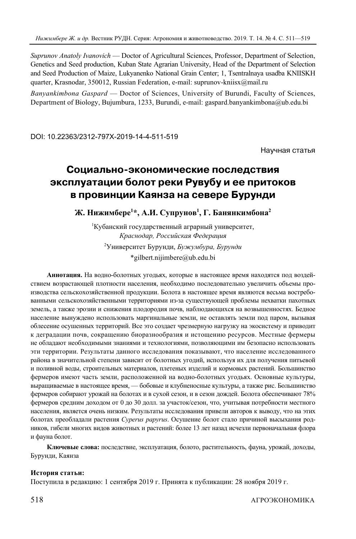*Suprunov Anatoly Ivanovich* — Doctor of Agricultural Sciences, Professor, Department of Selection, Genetics and Seed production, Kuban State Agrarian University, Head of the Department of Selection and Seed Production of Maize, Lukyanenko National Grain Center; 1, Tsentralnaya usadba KNIISKH quarter, Krasnodar, 350012, Russian Federation, e-mail: suprunov-kniisx@mail.ru

*Banyankimbona Gaspard* — Doctor of Sciences, University of Burundi, Faculty of Sciences, Department of Biology, Bujumbura, 1233, Burundi, e-mail: gaspard.banyankimbona@ub.edu.bi

DOI: 10.22363/2312-797X-2019-14-4-511-519

Научная статья

# **Социально7экономические последствия эксплуатации болот реки Рувубу и ее притоков в провинции Каянза на севере Бурунди**

Ж. Нижимбере<sup>1</sup>\*, А.И. Супрунов<sup>1</sup>, Г. Банянкимбона<sup>2</sup>

1 Кубанский государственный аграрный университет, *Краснодар, Российская Федерация*  2 Университет Бурунди, *Бужумбура, Бурунди*  \*gilbert.nijimbere@ub.edu.bi

**Аннотация.** На водно-болотных угодьях, которые в настоящее время находятся под воздействием возрастающей плотности населения, необходимо последовательно увеличить объемы производства сельскохозяйственной продукции. Болота в настоящее время являются весьма востребованными сельскохозяйственными территориями из-за существующей проблемы нехватки пахотных земель, а также эрозии и снижения плодородия почв, наблюдающихся на возвышенностях. Бедное население вынуждено использовать маргинальные земли, не оставлять земли под паром, вызывая облесение осушенных территорий. Все это создает чрезмерную нагрузку на экосистему и приводит к деградации почв, сокращению биоразнообразия и истощению ресурсов. Местные фермеры не обладают необходимыми знаниями и технологиями, позволяющими им безопасно использовать эти территории. Результаты данного исследования показывают, что население исследованного района в значительной степени зависит от болотных угодий, используя их для получения питьевой и поливной воды, строительных материалов, плетеных изделий и кормовых растений. Большинство фермеров имеют часть земли, расположенной на водно-болотных угодьях. Основные культуры, выращиваемые в настоящее время, — бобовые и клубненосные культуры, а также рис. Большинство фермеров собирают урожай на болотах и в сухой сезон, и в сезон дождей. Болота обеспечивают 78% фермеров средним доходом от 0 до 30 долл. за участок/сезон, что, учитывая потребности местного населения, является очень низким. Результаты исследования привели авторов к выводу, что на этих болотах преобладали растения *Cyperus papyrus*. Осушение болот стало причиной высыхания родников, гибели многих видов животных и растений: более 13 лет назад исчезли первоначальная флора и фауна болот.

**Ключевые слова:** последствие, эксплуатация, болото, растительность, фауна, урожай, доходы, Бурунди, Каянза

## **История статьи:**

Поступила в редакцию: 1 сентября 2019 г. Принята к публикации: 28 ноября 2019 г.